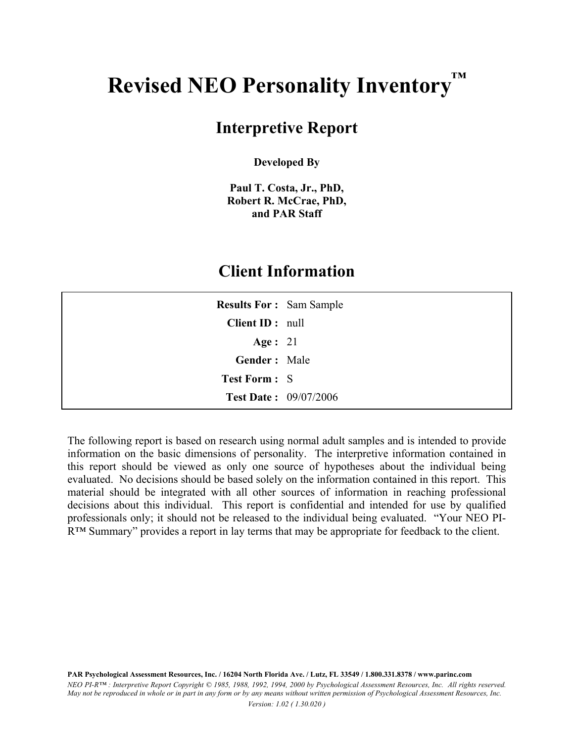## **Revised NEO Personality Inventory™**

### **Interpretive Report**

**Developed By** 

**Paul T. Costa, Jr., PhD, Robert R. McCrae, PhD, and PAR Staff** 

### **Client Information**

| <b>Results For: Sam Sample</b> |  |
|--------------------------------|--|
| Client ID: null                |  |
| Age : $21$                     |  |
| Gender: Male                   |  |
| <b>Test Form: S</b>            |  |
| <b>Test Date: 09/07/2006</b>   |  |

The following report is based on research using normal adult samples and is intended to provide information on the basic dimensions of personality. The interpretive information contained in this report should be viewed as only one source of hypotheses about the individual being evaluated. No decisions should be based solely on the information contained in this report. This material should be integrated with all other sources of information in reaching professional decisions about this individual. This report is confidential and intended for use by qualified professionals only; it should not be released to the individual being evaluated. "Your NEO PI-R™ Summary" provides a report in lay terms that may be appropriate for feedback to the client.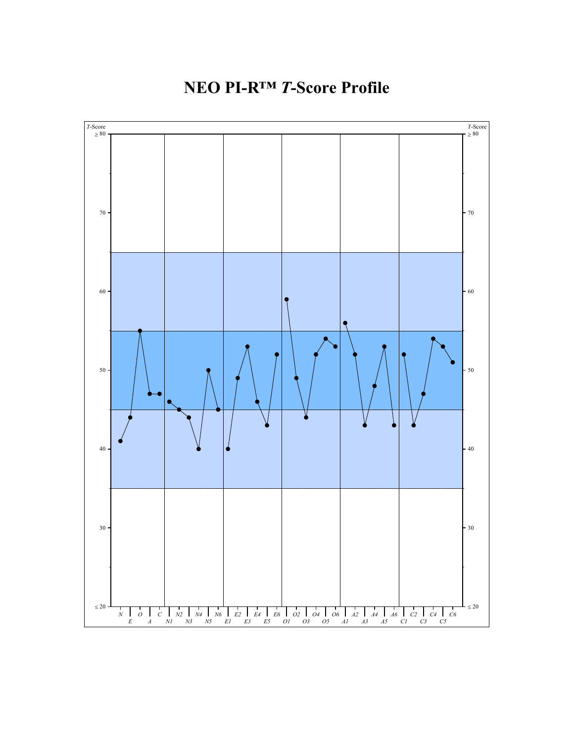**NEO PI-R™** *T***-Score Profile** 

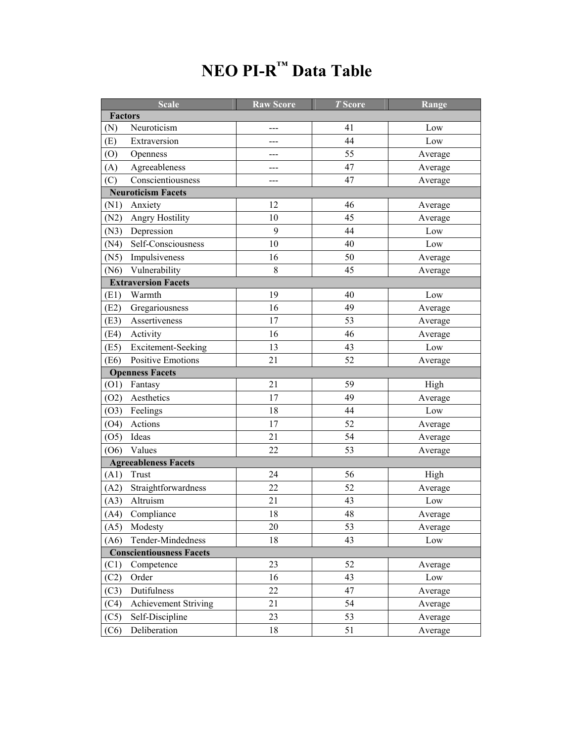|                                 | <b>Scale</b>              | <b>Raw Score</b> | <b>T</b> Score | Range   |  |
|---------------------------------|---------------------------|------------------|----------------|---------|--|
| <b>Factors</b>                  |                           |                  |                |         |  |
| (N)                             | Neuroticism               |                  | 41             | Low     |  |
| (E)                             | Extraversion              |                  | 44             | Low     |  |
| (0)                             | Openness                  | ---              | 55             | Average |  |
| (A)                             | Agreeableness             |                  | 47             | Average |  |
| (C)                             | Conscientiousness         |                  | 47             | Average |  |
|                                 | <b>Neuroticism Facets</b> |                  |                |         |  |
| (N1)                            | Anxiety                   | 12               | 46             | Average |  |
| (N2)                            | Angry Hostility           | 10               | 45             | Average |  |
| (N3)                            | Depression                | 9                | 44             | Low     |  |
| (N4)                            | Self-Consciousness        | 10               | 40             | Low     |  |
| (N5)                            | Impulsiveness             | 16               | 50             | Average |  |
| (N6)                            | Vulnerability             | 8                | 45             | Average |  |
| <b>Extraversion Facets</b>      |                           |                  |                |         |  |
| (E1)                            | Warmth                    | 19               | 40             | Low     |  |
| (E2)                            | Gregariousness            | 16               | 49             | Average |  |
| (E3)                            | Assertiveness             | 17               | 53             | Average |  |
| (E4)                            | Activity                  | 16               | 46             | Average |  |
| (E5)                            | Excitement-Seeking        | 13               | 43             | Low     |  |
| (E6)                            | <b>Positive Emotions</b>  | 21               | 52             | Average |  |
|                                 | <b>Openness Facets</b>    |                  |                |         |  |
| (01)                            | Fantasy                   | 21               | 59             | High    |  |
| (O2)                            | Aesthetics                | 17               | 49             | Average |  |
| (03)                            | Feelings                  | 18               | 44             | Low     |  |
| (04)                            | Actions                   | 17               | 52             | Average |  |
| (O5)                            | Ideas                     | 21               | 54             | Average |  |
| (06)                            | Values                    | 22               | 53             | Average |  |
| <b>Agreeableness Facets</b>     |                           |                  |                |         |  |
| (A1)                            | Trust                     | 24               | 56             | High    |  |
| (A2)                            | Straightforwardness       | 22               | 52             | Average |  |
| (A3)                            | Altruism                  | 21               | 43             | Low     |  |
|                                 | (A4) Compliance           | 18               | 48             | Average |  |
| (A5)                            | Modesty                   | 20               | 53             | Average |  |
| (A6)                            | Tender-Mindedness         | 18               | 43             | Low     |  |
| <b>Conscientiousness Facets</b> |                           |                  |                |         |  |
| (C1)                            | Competence                | 23               | 52             | Average |  |
| (C2)                            | Order                     | 16               | 43             | Low     |  |
| (C3)                            | Dutifulness               | 22               | 47             | Average |  |
| (C4)                            | Achievement Striving      | 21               | 54             | Average |  |
| (C5)                            | Self-Discipline           | 23               | 53             | Average |  |
| (C6)                            | Deliberation              | 18               | 51             | Average |  |

# **NEO PI-R™ Data Table**